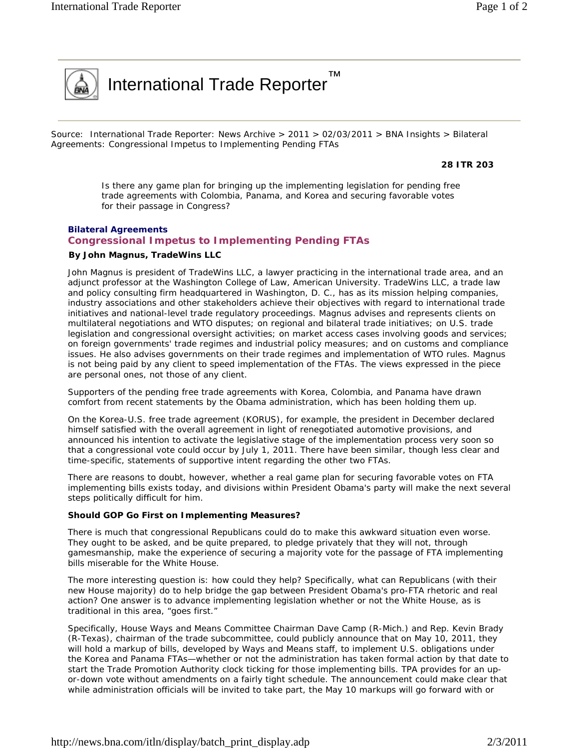

Source: International Trade Reporter: News Archive > 2011 > 02/03/2011 > BNA Insights > Bilateral Agreements: Congressional Impetus to Implementing Pending FTAs

™

**28 ITR 203** 

*Is there any game plan for bringing up the implementing legislation for pending free trade agreements with Colombia, Panama, and Korea and securing favorable votes for their passage in Congress?* 

## *Bilateral Agreements*  **Congressional Impetus to Implementing Pending FTAs By John Magnus, TradeWins LLC**

*John Magnus is president of TradeWins LLC, a lawyer practicing in the international trade area, and an adjunct professor at the Washington College of Law, American University. TradeWins LLC, a trade law and policy consulting firm headquartered in Washington, D. C., has as its mission helping companies, industry associations and other stakeholders achieve their objectives with regard to international trade initiatives and national-level trade regulatory proceedings. Magnus advises and represents clients on multilateral negotiations and WTO disputes; on regional and bilateral trade initiatives; on U.S. trade legislation and congressional oversight activities; on market access cases involving goods and services; on foreign governments' trade regimes and industrial policy measures; and on customs and compliance issues. He also advises governments on their trade regimes and implementation of WTO rules. Magnus is not being paid by any client to speed implementation of the FTAs. The views expressed in the piece are personal ones, not those of any client.* 

Supporters of the pending free trade agreements with Korea, Colombia, and Panama have drawn comfort from recent statements by the Obama administration, which has been holding them up.

On the Korea-U.S. free trade agreement (KORUS), for example, the president in December declared himself satisfied with the overall agreement in light of renegotiated automotive provisions, and announced his intention to activate the legislative stage of the implementation process very soon so that a congressional vote could occur by July 1, 2011. There have been similar, though less clear and time-specific, statements of supportive intent regarding the other two FTAs.

There are reasons to doubt, however, whether a real game plan for securing favorable votes on FTA implementing bills exists today, and divisions within President Obama's party will make the next several steps politically difficult for him.

## **Should GOP Go First on Implementing Measures?**

There is much that congressional Republicans could do to make this awkward situation even worse. They ought to be asked, and be quite prepared, to pledge privately that they will not, through gamesmanship, make the experience of securing a majority vote for the passage of FTA implementing bills miserable for the White House.

The more interesting question is: how could they help? Specifically, what can Republicans (with their new House majority) do to help bridge the gap between President Obama's pro-FTA rhetoric and real action? One answer is to advance implementing legislation whether or not the White House, as is traditional in this area, "goes first."

Specifically, House Ways and Means Committee Chairman Dave Camp (R-Mich.) and Rep. Kevin Brady (R-Texas), chairman of the trade subcommittee, could publicly announce that on May 10, 2011, they will hold a markup of bills, developed by Ways and Means staff, to implement U.S. obligations under the Korea and Panama FTAs—whether or not the administration has taken formal action by that date to start the Trade Promotion Authority clock ticking for those implementing bills. TPA provides for an upor-down vote without amendments on a fairly tight schedule. The announcement could make clear that while administration officials will be invited to take part, the May 10 markups will go forward with or